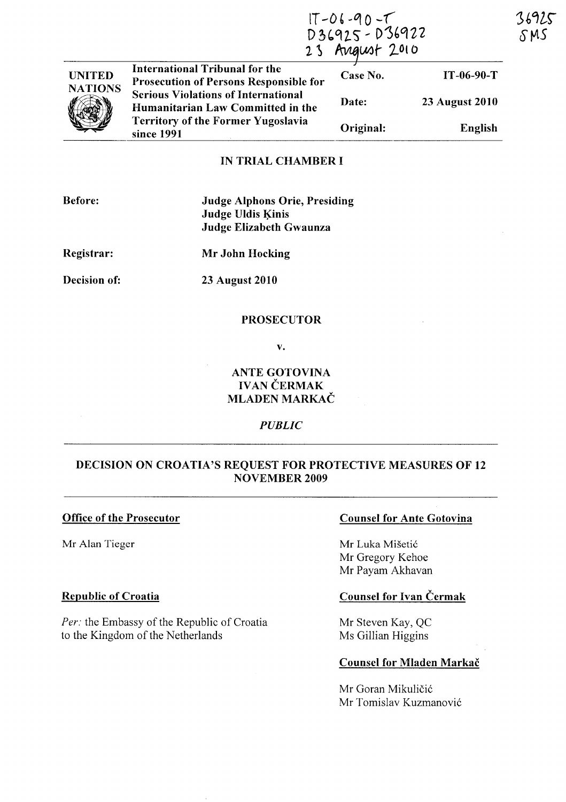# $17 - 06 - 90 - 7$ <br>D36925 - D36922<br>23 August 2010

| <b>UNITED</b>  | International Tribunal for the<br><b>Prosecution of Persons Responsible for</b> | Case No.  | $IT-06-90-T$          |
|----------------|---------------------------------------------------------------------------------|-----------|-----------------------|
| <b>NATIONS</b> | <b>Serious Violations of International</b><br>Humanitarian Law Committed in the | Date:     | <b>23 August 2010</b> |
|                | <b>Territory of the Former Yugoslavia</b><br>since 1991                         | Original: | English               |

#### IN TRIAL CHAMBER I

| <b>Before:</b>      | <b>Judge Alphons Orie, Presiding</b><br><b>Judge Uldis Kinis</b><br>Judge Elizabeth Gwaunza |
|---------------------|---------------------------------------------------------------------------------------------|
| Registrar:          | Mr John Hocking                                                                             |
| <b>Decision of:</b> | <b>23 August 2010</b>                                                                       |

#### PROSECUTOR

v.

## ANTE GOTOVINA **IVAN ČERMAK** MLADEN MARKAČ

#### *PUBLIC*

## DECISION ON CROATIA'S REQUEST FOR PROTECTIVE MEASURES OF 12 NOVEMBER 2009

#### Office of the Prosecutor

Mr Alan Tieger

#### Republic of Croatia

*Per:* the Embassy of the Republic of Croatia to the Kingdom of the Netherlands

### Counsel for Ante Gotovina

Mr Luka Mišetić Mr Oregory Kehoe Mr Payam Akhavan

# Counsel for Ivan Cermak

Mr Steven Kay, QC Ms Oillian Higgins

#### Counsel for Mladen Markač

Mr Goran Mikuličić Mr Tomislav Kuzmanovic 36925 S M S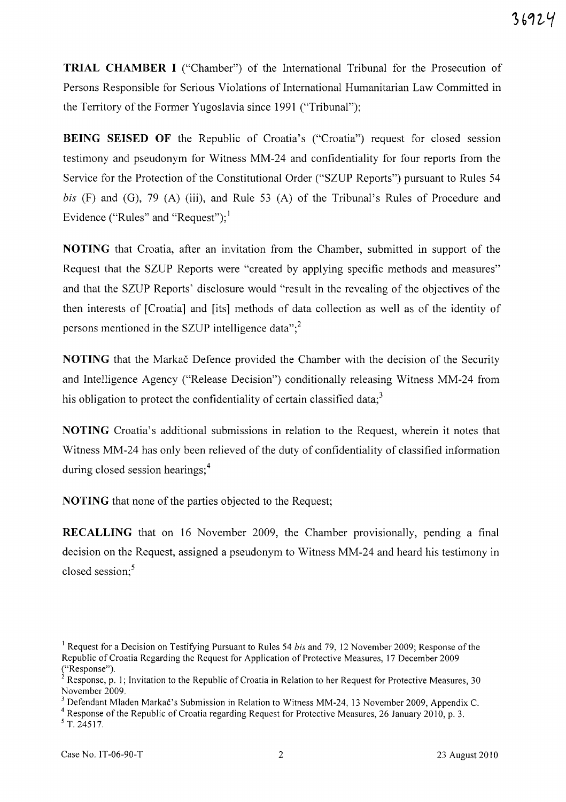**TRIAL CHAMBER I** ("Chamber") of the International Tribunal for the Prosecution of Persons Responsible for Serious Violations of International Humanitarian Law Committed in the Territory of the Former Yugoslavia since 1991 ("Tribunal");

**BEING SEISED OF** the Republic of Croatia's ("Croatia") request for closed session testimony and pseudonym for Witness MM-24 and confidentiality for four reports from the Service for the Protection of the Constitutional Order ("SZUP Reports") pursuant to Rules 54 *bis* (F) and (G), 79 (A) (iii), and Rule 53 (A) of the Tribunal's Rules of Procedure and Evidence ("Rules" and "Request");  $\frac{1}{2}$ 

**NOTING** that Croatia, after an invitation from the Chamber, submitted in support of the Request that the SZUP Reports were "created by applying specific methods and measures" and that the SZUP Reports' disclosure would "result in the revealing of the objectives of the then interests of [Croatia] and [its] methods of data collection as well as of the identity of persons mentioned in the SZUP intelligence data"; $<sup>2</sup>$ </sup>

**NOTING** that the Markac Defence provided the Chamber with the decision of the Security and Intelligence Agency ("Release Decision") conditionally releasing Witness MM-24 from his obligation to protect the confidentiality of certain classified data; $3$ 

**NOTING** Croatia's additional submissions in relation to the Request, wherein it notes that Witness MM -24 has only been relieved of the duty of confidentiality of classified information during closed session hearings; $<sup>4</sup>$ </sup>

**NOTING** that none of the parties objected to the Request;

**RECALLING** that on 16 November 2009, the Chamber provisionally, pending a final decision on the Request, assigned a pseudonym to Witness MM-24 and heard his testimony in closed session; $5$ 

<sup>&</sup>lt;sup>1</sup> Request for a Decision on Testifying Pursuant to Rules 54 *bis* and 79, 12 November 2009; Response of the Republic of Croatia Regarding the Request for Application of Protective Measures, 17 December 2009 ("Response").

<sup>&</sup>lt;sup>2</sup> Response, p. 1; Invitation to the Republic of Croatia in Relation to her Request for Protective Measures, 30 November 2009.

<sup>&</sup>lt;sup>3</sup> Defendant Mladen Markač's Submission in Relation to Witness MM-24, 13 November 2009, Appendix C.

<sup>&</sup>lt;sup>4</sup> Response of the Republic of Croatia regarding Request for Protective Measures, 26 January 2010, p. 3.  $5$  T. 24517.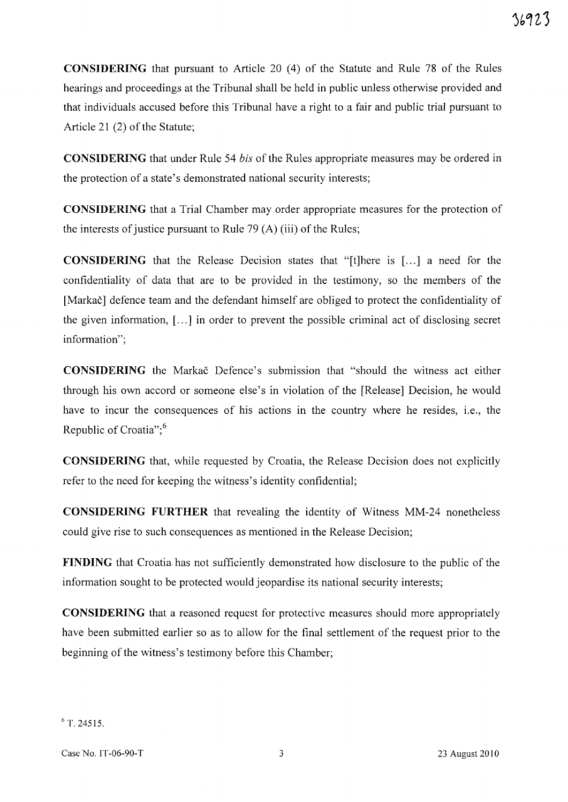**CONSIDERING** that pursuant to Article 20 (4) of the Statute and Rule 78 of the Rules hearings and proceedings at the Tribunal shall be held in public unless otherwise provided and that individuals accused before this Tribunal have a right to a fair and public trial pursuant to Article 21 (2) of the Statute;

**CONSIDERING** that under Rule 54 *his* of the Rules appropriate measures may be ordered in the protection of a state's demonstrated national security interests;

**CONSIDERING** that a Trial Chamber may order appropriate measures for the protection of the interests of justice pursuant to Rule 79 (A) (iii) of the Rules;

**CONSIDERING** that the Release Decision states that "[t]here is [...] a need for the confidentiality of data that are to be provided in the testimony, so the members of the [Markac] defence team and the defendant himself are obliged to protect the confidentiality of the given information, [ ... ] in order to prevent the possible criminal act of disclosing secret information";

**CONSIDERING** the Markac Defence's submission that "should the witness act either through his own accord or someone else's in violation of the [Release] Decision, he would have to incur the consequences of his actions in the country where he resides, i.e., the Republic of Croatia": $6$ 

**CONSIDERING** that, while requested by Croatia, the Release Decision does not explicitly refer to the need for keeping the witness's identity confidential;

**CONSIDERING FURTHER** that revealing the identity of Witness MM-24 nonetheless could give rise to such consequences as mentioned in the Release Decision;

FINDING that Croatia has not sufficiently demonstrated how disclosure to the public of the information sought to be protected would jeopardise its national security interests;

**CONSIDERING** that a reasoned request for protective measures should more appropriately have been submitted earlier so as to allow for the final settlement of the request prior to the beginning of the witness's testimony before this Chamber;